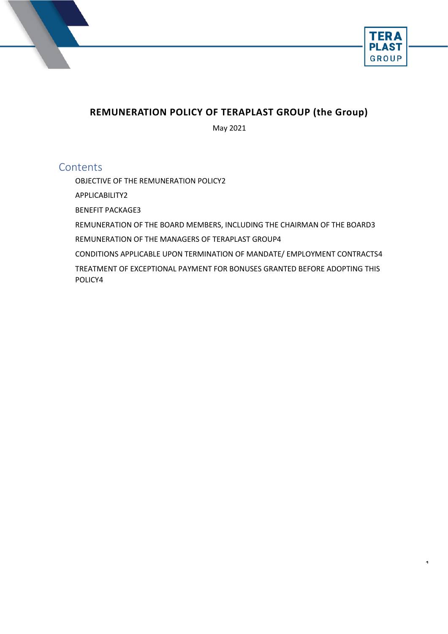



 $\ddot{\phantom{0}}$ 

# **REMUNERATION POLICY OF TERAPLAST GROUP (the Group)**

May 2021

## **Contents**

[OBJECTIVE OF THE REMUNERATION POLICY2](#page-1-0)

[APPLICABILITY2](#page-1-1)

[BENEFIT PACKAGE3](#page-2-0)

REMUNERATION OF THE BOARD MEMBERS, INCLUDING THE CHAIRMAN OF THE BOARD3

[REMUNERATION](#page-2-1) OF THE MANAGERS OF [TERAPLAST GROUP4](#page-3-0)

[CONDITIONS APPLICABLE UPON TERMINATION OF MANDATE/ EMPLOYMENT CONTRACTS4](#page-3-1) [TREATMENT OF EXCEPTIONAL PAYMENT FOR BONUSES GRANTED BEFORE ADOPTING THIS](#page-3-2)  [POLICY4](#page-3-2)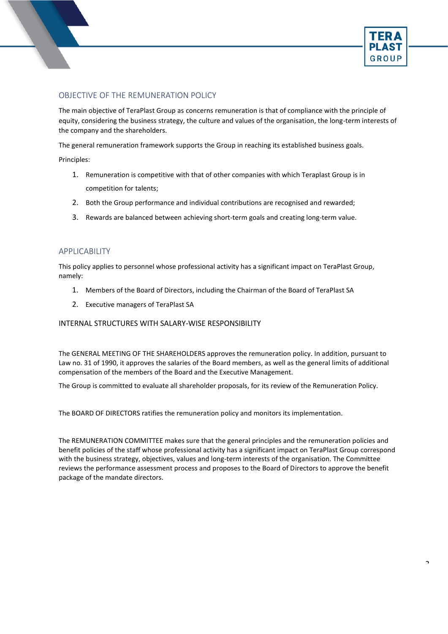

 $\overline{\phantom{a}}$ 

## <span id="page-1-0"></span>OBJECTIVE OF THE REMUNERATION POLICY

The main objective of TeraPlast Group as concerns remuneration is that of compliance with the principle of equity, considering the business strategy, the culture and values of the organisation, the long-term interests of the company and the shareholders.

The general remuneration framework supports the Group in reaching its established business goals.

Principles:

- 1. Remuneration is competitive with that of other companies with which Teraplast Group is in competition for talents;
- 2. Both the Group performance and individual contributions are recognised and rewarded;
- 3. Rewards are balanced between achieving short-term goals and creating long-term value.

#### <span id="page-1-1"></span>APPLICABILITY

This policy applies to personnel whose professional activity has a significant impact on TeraPlast Group, namely:

- 1. Members of the Board of Directors, including the Chairman of the Board of TeraPlast SA
- 2. Executive managers of TeraPlast SA

#### INTERNAL STRUCTURES WITH SALARY-WISE RESPONSIBILITY

The GENERAL MEETING OF THE SHAREHOLDERS approves the remuneration policy. In addition, pursuant to Law no. 31 of 1990, it approves the salaries of the Board members, as well as the general limits of additional compensation of the members of the Board and the Executive Management.

The Group is committed to evaluate all shareholder proposals, for its review of the Remuneration Policy.

The BOARD OF DIRECTORS ratifies the remuneration policy and monitors its implementation.

The REMUNERATION COMMITTEE makes sure that the general principles and the remuneration policies and benefit policies of the staff whose professional activity has a significant impact on TeraPlast Group correspond with the business strategy, objectives, values and long-term interests of the organisation. The Committee reviews the performance assessment process and proposes to the Board of Directors to approve the benefit package of the mandate directors.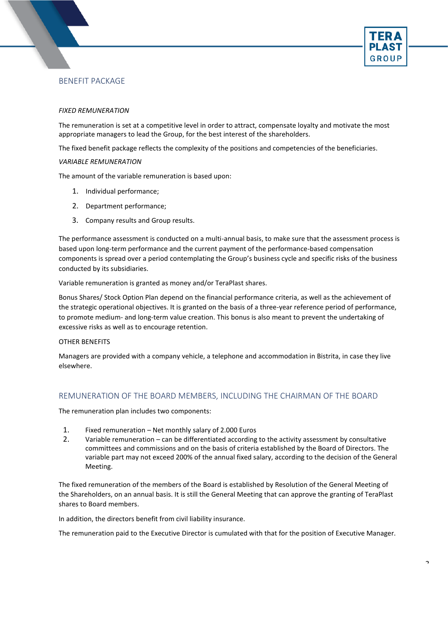

## <span id="page-2-0"></span>BENEFIT PACKAGE

#### *FIXED REMUNERATION*

The remuneration is set at a competitive level in order to attract, compensate loyalty and motivate the most appropriate managers to lead the Group, for the best interest of the shareholders.

The fixed benefit package reflects the complexity of the positions and competencies of the beneficiaries.

#### *VARIABLE REMUNERATION*

The amount of the variable remuneration is based upon:

- 1. Individual performance;
- 2. Department performance;
- 3. Company results and Group results.

The performance assessment is conducted on a multi-annual basis, to make sure that the assessment process is based upon long-term performance and the current payment of the performance-based compensation components is spread over a period contemplating the Group's business cycle and specific risks of the business conducted by its subsidiaries.

Variable remuneration is granted as money and/or TeraPlast shares.

Bonus Shares/ Stock Option Plan depend on the financial performance criteria, as well as the achievement of the strategic operational objectives. It is granted on the basis of a three-year reference period of performance, to promote medium- and long-term value creation. This bonus is also meant to prevent the undertaking of excessive risks as well as to encourage retention.

#### OTHER BENEFITS

Managers are provided with a company vehicle, a telephone and accommodation in Bistrita, in case they live elsewhere.

#### <span id="page-2-1"></span>REMUNERATION OF THE BOARD MEMBERS, INCLUDING THE CHAIRMAN OF THE BOARD

The remuneration plan includes two components:

- 1. Fixed remuneration Net monthly salary of 2.000 Euros
- 2. Variable remuneration can be differentiated according to the activity assessment by consultative committees and commissions and on the basis of criteria established by the Board of Directors. The variable part may not exceed 200% of the annual fixed salary, according to the decision of the General Meeting.

The fixed remuneration of the members of the Board is established by Resolution of the General Meeting of the Shareholders, on an annual basis. It is still the General Meeting that can approve the granting of TeraPlast shares to Board members.

In addition, the directors benefit from civil liability insurance.

The remuneration paid to the Executive Director is cumulated with that for the position of Executive Manager.